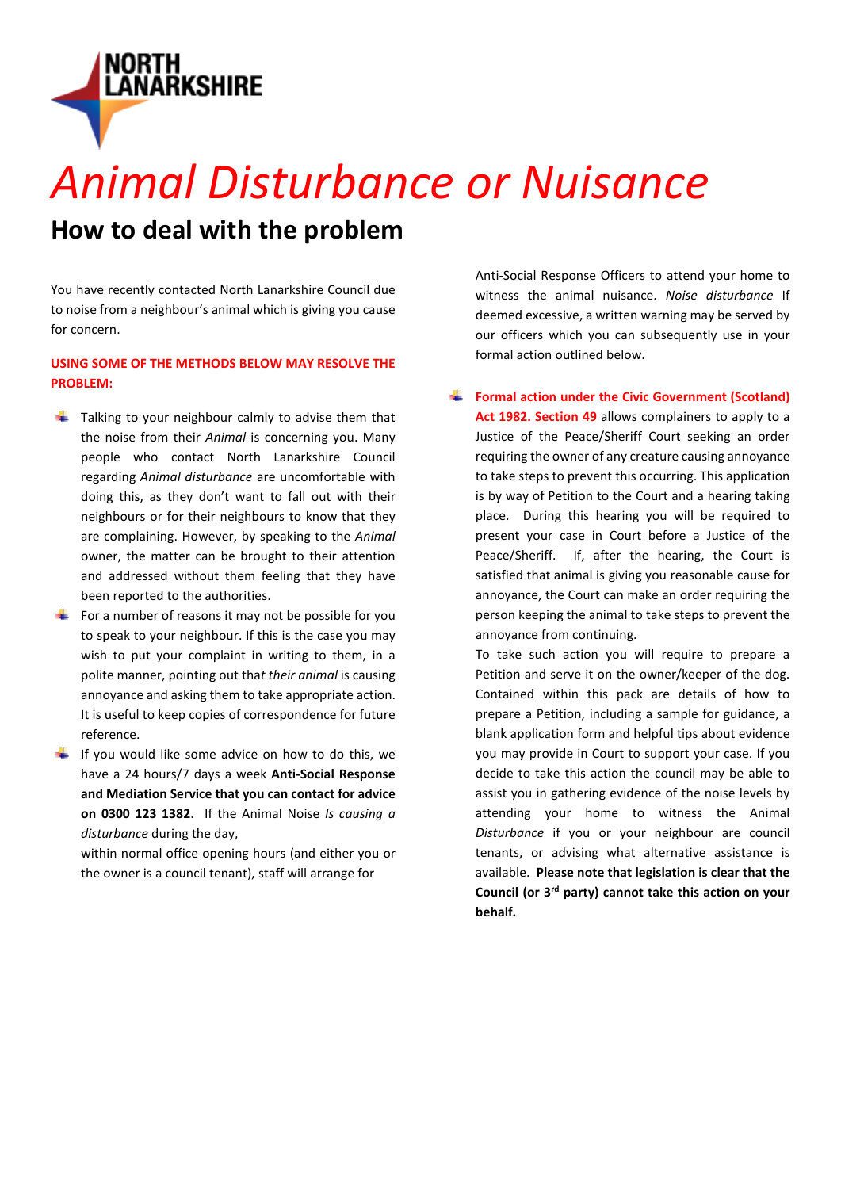

## *Animal Disturbance or Nuisance*

### **How to deal with the problem**

You have recently contacted North Lanarkshire Council due to noise from a neighbour's animal which is giving you cause for concern.

#### **USING SOME OF THE METHODS BELOW MAY RESOLVE THE PROBLEM:**

- $\overline{\phantom{a}}$  Talking to your neighbour calmly to advise them that the noise from their *Animal* is concerning you. Many people who contact North Lanarkshire Council regarding *Animal disturbance* are uncomfortable with doing this, as they don't want to fall out with their neighbours or for their neighbours to know that they are complaining. However, by speaking to the *Animal* owner, the matter can be brought to their attention and addressed without them feeling that they have been reported to the authorities.
- For a number of reasons it may not be possible for you to speak to your neighbour. If this is the case you may wish to put your complaint in writing to them, in a polite manner, pointing out tha*t their animal* is causing annoyance and asking them to take appropriate action. It is useful to keep copies of correspondence for future reference.
- If you would like some advice on how to do this, we have a 24 hours/7 days a week **Anti-Social Response and Mediation Service that you can contact for advice on 0300 123 1382**. If the Animal Noise *Is causing a disturbance* during the day,

within normal office opening hours (and either you or the owner is a council tenant), staff will arrange for

Anti-Social Response Officers to attend your home to witness the animal nuisance. *Noise disturbance* If deemed excessive, a written warning may be served by our officers which you can subsequently use in your formal action outlined below.

**Formal action under the Civic Government (Scotland) Act 1982. Section 49** allows complainers to apply to a Justice of the Peace/Sheriff Court seeking an order requiring the owner of any creature causing annoyance to take steps to prevent this occurring. This application is by way of Petition to the Court and a hearing taking place. During this hearing you will be required to present your case in Court before a Justice of the Peace/Sheriff. If, after the hearing, the Court is satisfied that animal is giving you reasonable cause for annoyance, the Court can make an order requiring the person keeping the animal to take steps to prevent the annoyance from continuing.

To take such action you will require to prepare a Petition and serve it on the owner/keeper of the dog. Contained within this pack are details of how to prepare a Petition, including a sample for guidance, a blank application form and helpful tips about evidence you may provide in Court to support your case. If you decide to take this action the council may be able to assist you in gathering evidence of the noise levels by attending your home to witness the Animal *Disturbance* if you or your neighbour are council tenants, or advising what alternative assistance is available. **Please note that legislation is clear that the Council (or 3rd party) cannot take this action on your behalf.**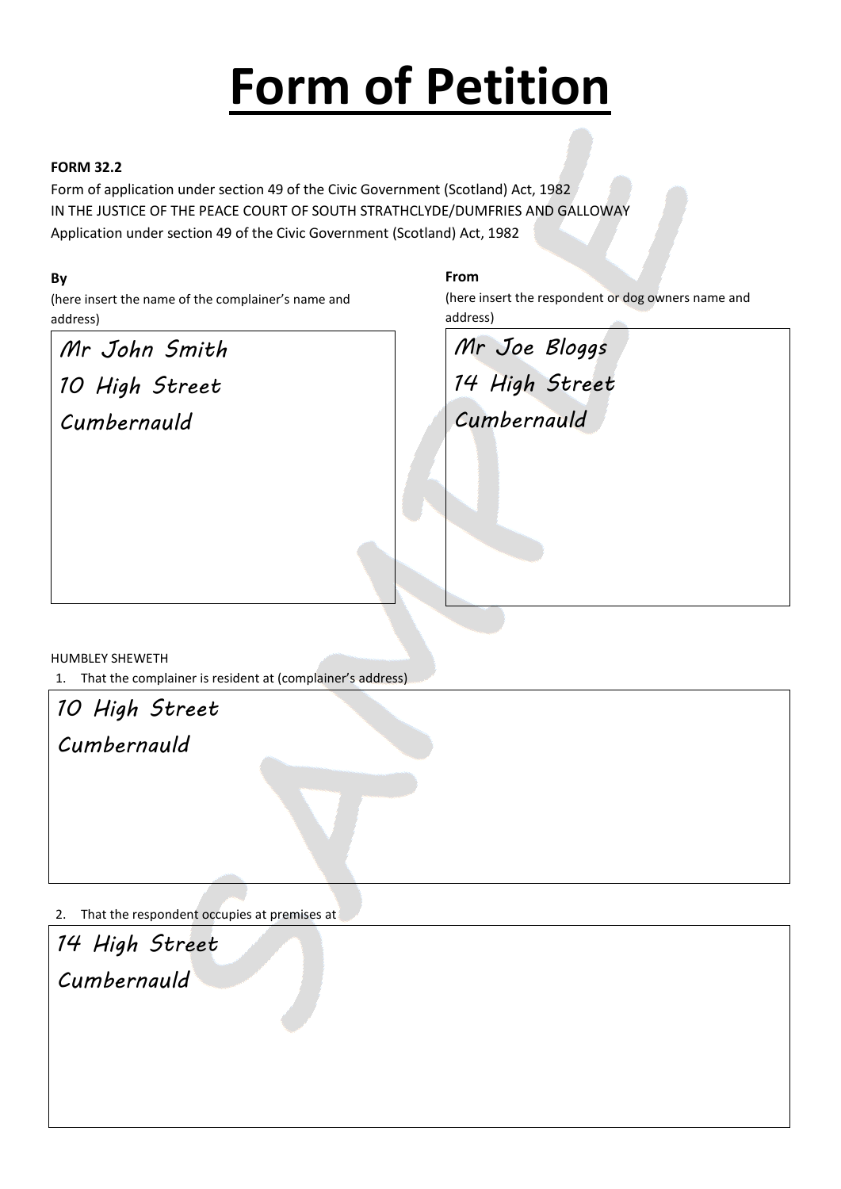# **Form of Petition**

#### **FORM 32.2**

Form of application under section 49 of the Civic Government (Scotland) Act, 1982 IN THE JUSTICE OF THE PEACE COURT OF SOUTH STRATHCLYDE/DUMFRIES AND GALLOWAY Application under section 49 of the Civic Government (Scotland) Act, 1982

#### **By**

(here insert the name of the complainer's name and address)

*Mr John Smith 10 High Street Cumbernauld*

#### **From**

(here insert the respondent or dog owners name and address)

*Mr Joe Bloggs 14 High Street*

*Cumbernauld*

HUMBLEY SHEWETH

1. That the complainer is resident at (complainer's address)

*10 High Street*

*Cumbernauld*

2. That the respondent occupies at premises at

*14 High Street Cumbernauld*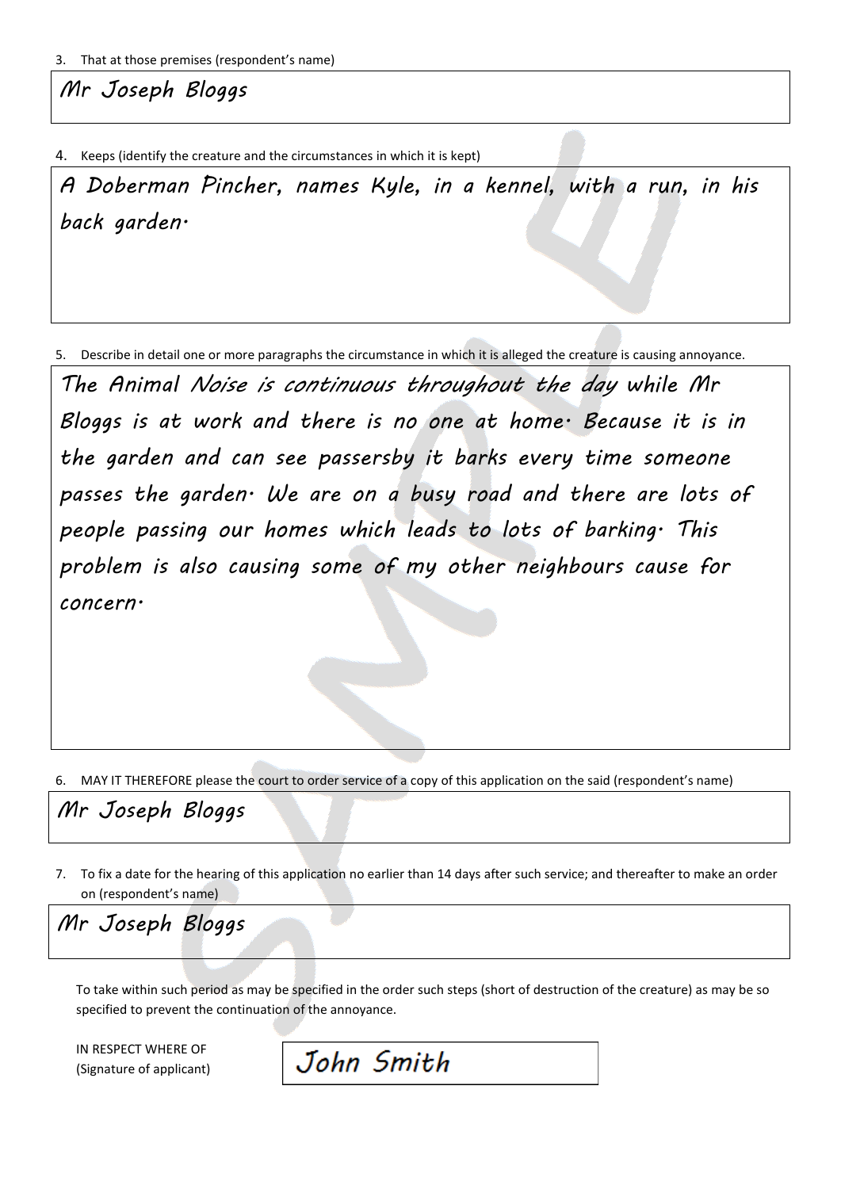*Mr Joseph Bloggs*

4. Keeps (identify the creature and the circumstances in which it is kept)

*A Doberman Pincher, names Kyle, in a kennel, with a run, in his back garden.*

5. Describe in detail one or more paragraphs the circumstance in which it is alleged the creature is causing annoyance.

*The Animal Noise is continuous throughout the day while Mr Bloggs is at work and there is no one at home. Because it is in the garden and can see passersby it barks every time someone passes the garden. We are on a busy road and there are lots of people passing our homes which leads to lots of barking. This problem is also causing some of my other neighbours cause for concern.*

6. MAY IT THEREFORE please the court to order service of a copy of this application on the said (respondent's name)

*Mr Joseph Bloggs*

7. To fix a date for the hearing of this application no earlier than 14 days after such service; and thereafter to make an order on (respondent's name)

*Mr Joseph Bloggs*

To take within such period as may be specified in the order such steps (short of destruction of the creature) as may be so specified to prevent the continuation of the annoyance.

IN RESPECT WHERE OF (Signature of applicant)

John Smith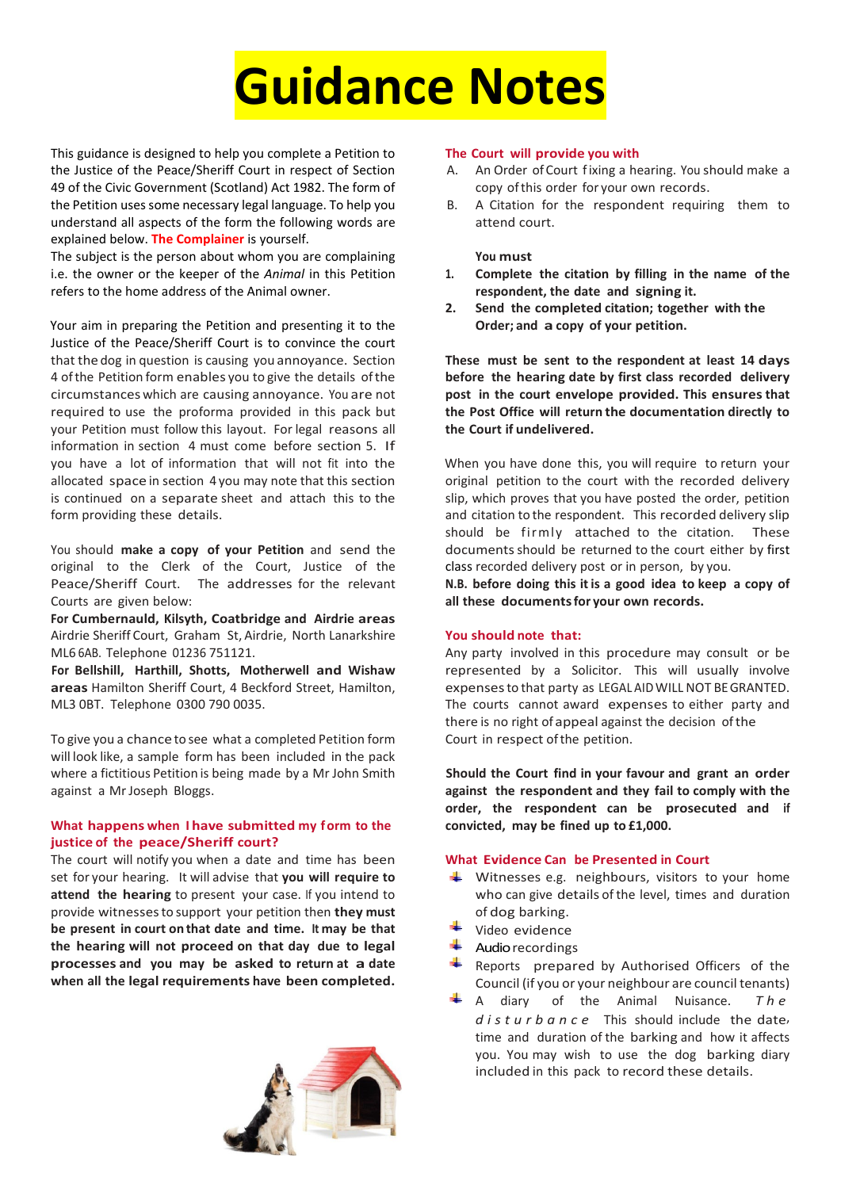

This guidance is designed to help you complete a Petition to the Justice of the Peace/Sheriff Court in respect of Section 49 of the Civic Government (Scotland) Act 1982. The form of the Petition uses some necessary legal language. To help you understand all aspects of the form the following words are explained below. **The Complainer** is yourself.

The subject is the person about whom you are complaining i.e. the owner or the keeper of the *Animal* in this Petition refers to the home address of the Animal owner.

Your aim in preparing the Petition and presenting it to the Justice of the Peace/Sheriff Court is to convince the court that the dog in question is causing you annoyance. Section 4 ofthe Petition form enables you to give the details ofthe circumstances which are causing annoyance. You are not required to use the proforma provided in this pack but your Petition must follow this layout. For legal reasons all information in section 4 must come before section 5. If you have a lot of information that will not fit into the allocated space in section 4 you may note that this section is continued on a separate sheet and attach this to the form providing these details.

You should **make a copy of your Petition** and send the original to the Clerk of the Court, Justice of the Peace/Sheriff Court. The addresses for the relevant Courts are given below:

**For Cumbernauld, Kilsyth, Coatbridge and Airdrie areas** Airdrie Sheriff Court, Graham St, Airdrie, North Lanarkshire ML6 6AB. Telephone 01236 751121.

**For Bellshill, Harthill, Shotts, Motherwell and Wishaw areas** Hamilton Sheriff Court, 4 Beckford Street, Hamilton, ML3 0BT. Telephone 0300 790 0035.

To give you a chanceto see what a completed Petition form will look like, a sample form has been included in the pack where a fictitious Petition is being made by a Mr John Smith against a Mr Joseph Bloggs.

#### **What happens when I have submitted my form to the justice of the peace/Sheriff court?**

The court will notify you when a date and time has been set for your hearing. It will advise that **you will require to attend the hearing** to present your case. If you intend to provide witnessesto support your petition then **they must be present in court on that date and time. It may be that the hearing will not proceed on that day due to legal processes and you may be asked to return at a date when all the legal requirements have been completed.**



#### **The Court will provide you with**

- An Order of Court fixing a hearing. You should make a copy ofthis order for your own records.
- B. A Citation for the respondent requiring them to attend court.

#### **You must**

- **1. Complete the citation by filling in the name of the respondent, the date and signing it.**
- **2. Send the completed citation; together with the Order; and a copy of your petition.**

**These must be sent to the respondent at least 14 days before the hearing date by first class recorded delivery post in the court envelope provided. This ensuresthat the Post Office will return the documentation directly to the Court if undelivered.**

When you have done this, you will require to return your original petition to the court with the recorded delivery slip, which proves that you have posted the order, petition and citation to the respondent. This recorded delivery slip should be firmly attached to the citation. These documents should be returned to the court either by first class recorded delivery post or in person, by you.

**N.B. before doing this itis a good idea to keep a copy of all these documentsfor your own records.**

#### **You should note that:**

Any party involved in this procedure may consult or be represented by a Solicitor. This will usually involve expensesto that party as LEGAL AIDWILL NOT BEGRANTED. The courts cannot award expenses to either party and there is no right of appeal against the decision ofthe Court in respect ofthe petition.

**Should the Court find in your favour and grant an order against the respondent and they fail to comply with the order, the respondent can be prosecuted and if convicted, may be fined up to £1,000.**

#### **What Evidence Can be Presented in Court**

- $\frac{1}{2}$  Witnesses e.g. neighbours, visitors to your home who can give details of the level, times and duration of dog barking.
- Video evidence
- Audio recordings
- Reports prepared by Authorised Officers of the Council (if you or your neighbour are council tenants)
- A diary of the Animal Nuisance. *The disturbance* This should include the date, time and duration of the barking and how it affects you. You may wish to use the dog barking diary included in this pack to record these details.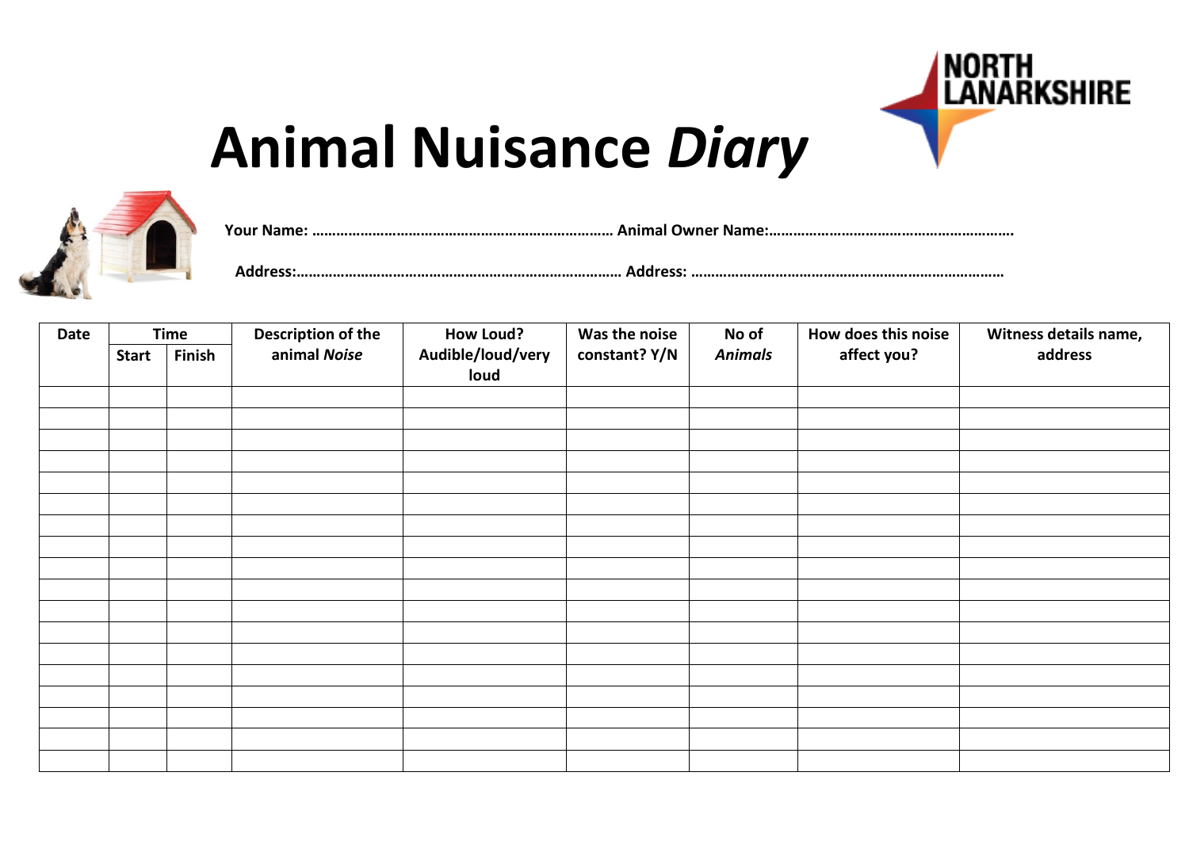

# **Animal Nuisance** *Diary*



**Your Name: ………………………………………………………………… Animal Owner Name:……………………………………………………. Address:……………………………………………………………………… Address: ……………………………………………………………………**

| Date | <b>Time</b>  |        | Description of the | <b>How Loud?</b>          | Was the noise | No of          | How does this noise | Witness details name, |
|------|--------------|--------|--------------------|---------------------------|---------------|----------------|---------------------|-----------------------|
|      | <b>Start</b> | Finish | animal Noise       | Audible/loud/very<br>loud | constant? Y/N | <b>Animals</b> | affect you?         | address               |
|      |              |        |                    |                           |               |                |                     |                       |
|      |              |        |                    |                           |               |                |                     |                       |
|      |              |        |                    |                           |               |                |                     |                       |
|      |              |        |                    |                           |               |                |                     |                       |
|      |              |        |                    |                           |               |                |                     |                       |
|      |              |        |                    |                           |               |                |                     |                       |
|      |              |        |                    |                           |               |                |                     |                       |
|      |              |        |                    |                           |               |                |                     |                       |
|      |              |        |                    |                           |               |                |                     |                       |
|      |              |        |                    |                           |               |                |                     |                       |
|      |              |        |                    |                           |               |                |                     |                       |
|      |              |        |                    |                           |               |                |                     |                       |
|      |              |        |                    |                           |               |                |                     |                       |
|      |              |        |                    |                           |               |                |                     |                       |
|      |              |        |                    |                           |               |                |                     |                       |
|      |              |        |                    |                           |               |                |                     |                       |
|      |              |        |                    |                           |               |                |                     |                       |
|      |              |        |                    |                           |               |                |                     |                       |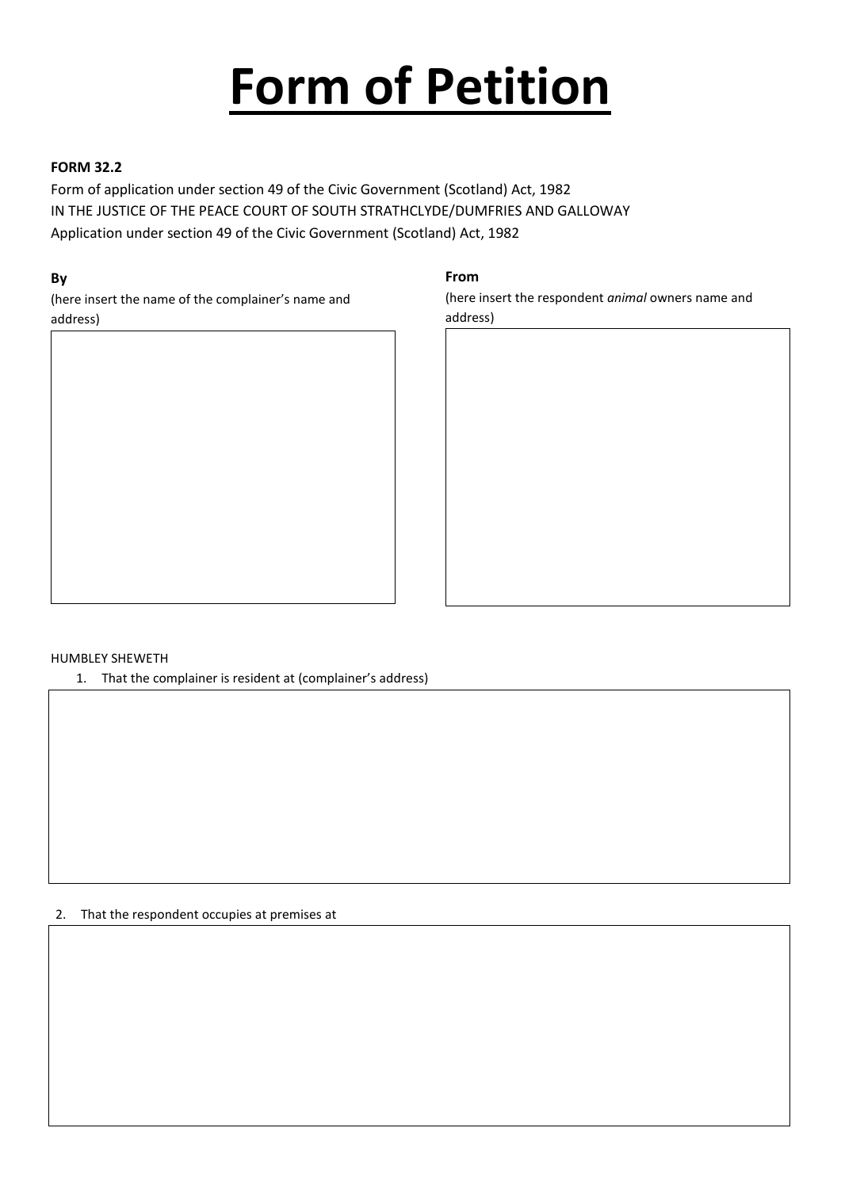# **Form of Petition**

#### **FORM 32.2**

Form of application under section 49 of the Civic Government (Scotland) Act, 1982 IN THE JUSTICE OF THE PEACE COURT OF SOUTH STRATHCLYDE/DUMFRIES AND GALLOWAY Application under section 49 of the Civic Government (Scotland) Act, 1982

#### **By**

(here insert the name of the complainer's name and address)



#### **From**

(here insert the respondent *animal* owners name and address)



#### HUMBLEY SHEWETH

1. That the complainer is resident at (complainer's address)

2. That the respondent occupies at premises at